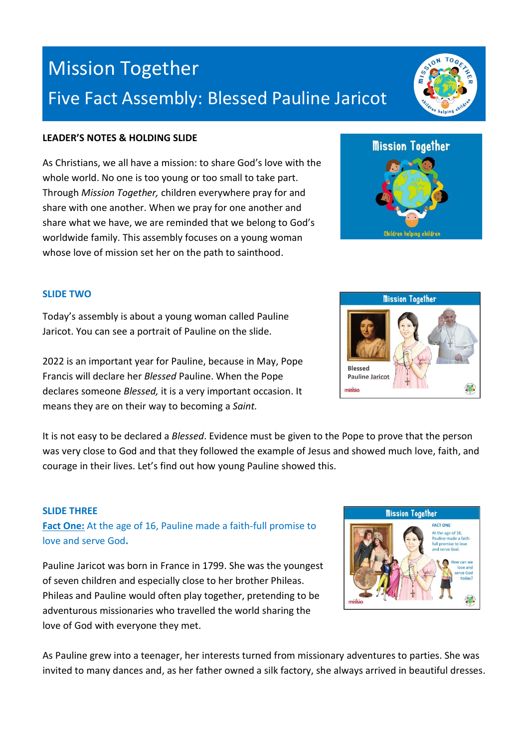# Mission Together Five Fact Assembly: Blessed Pauline Jaricot

## **LEADER'S NOTES & HOLDING SLIDE**

As Christians, we all have a mission: to share God's love with the whole world. No one is too young or too small to take part. Through *Mission Together,* children everywhere pray for and share with one another. When we pray for one another and share what we have, we are reminded that we belong to God's worldwide family. This assembly focuses on a young woman whose love of mission set her on the path to sainthood.

#### **SLIDE TWO**

Today's assembly is about a young woman called Pauline Jaricot. You can see a portrait of Pauline on the slide.

2022 is an important year for Pauline, because in May, Pope Francis will declare her *Blessed* Pauline. When the Pope declares someone *Blessed,* it is a very important occasion. It means they are on their way to becoming a *Saint.*

It is not easy to be declared a *Blessed*. Evidence must be given to the Pope to prove that the person was very close to God and that they followed the example of Jesus and showed much love, faith, and courage in their lives. Let's find out how young Pauline showed this.

#### **SLIDE THREE**

**Fact One:** At the age of 16, Pauline made a faith-full promise to love and serve God**.**

Pauline Jaricot was born in France in 1799. She was the youngest of seven children and especially close to her brother Phileas. Phileas and Pauline would often play together, pretending to be adventurous missionaries who travelled the world sharing the love of God with everyone they met.

As Pauline grew into a teenager, her interests turned from missionary adventures to parties. She was invited to many dances and, as her father owned a silk factory, she always arrived in beautiful dresses.







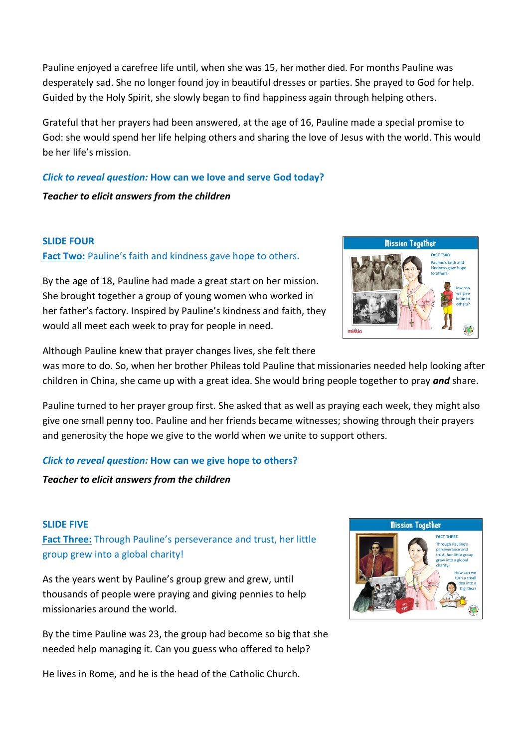Pauline enjoyed a carefree life until, when she was 15, her mother died. For months Pauline was desperately sad. She no longer found joy in beautiful dresses or parties. She prayed to God for help. Guided by the Holy Spirit, she slowly began to find happiness again through helping others.

Grateful that her prayers had been answered, at the age of 16, Pauline made a special promise to God: she would spend her life helping others and sharing the love of Jesus with the world. This would be her life's mission.

# *Click to reveal question:* **How can we love and serve God today?**

*Teacher to elicit answers from the children*

## **SLIDE FOUR**

# **Fact Two:** Pauline's faith and kindness gave hope to others.

By the age of 18, Pauline had made a great start on her mission. She brought together a group of young women who worked in her father's factory. Inspired by Pauline's kindness and faith, they would all meet each week to pray for people in need.



Although Pauline knew that prayer changes lives, she felt there

was more to do. So, when her brother Phileas told Pauline that missionaries needed help looking after children in China, she came up with a great idea. She would bring people together to pray *and* share.

Pauline turned to her prayer group first. She asked that as well as praying each week, they might also give one small penny too. Pauline and her friends became witnesses; showing through their prayers and generosity the hope we give to the world when we unite to support others.

# *Click to reveal question:* **How can we give hope to others?**

*Teacher to elicit answers from the children*

# **SLIDE FIVE**

**Fact Three:** Through Pauline's perseverance and trust, her little group grew into a global charity!

As the years went by Pauline's group grew and grew, until thousands of people were praying and giving pennies to help missionaries around the world.

By the time Pauline was 23, the group had become so big that she needed help managing it. Can you guess who offered to help?

He lives in Rome, and he is the head of the Catholic Church.

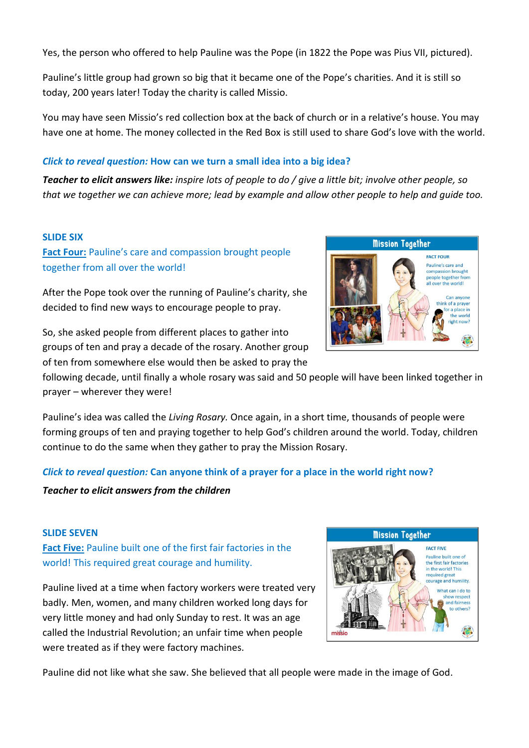Yes, the person who offered to help Pauline was the Pope (in 1822 the Pope was Pius VII, pictured).

Pauline's little group had grown so big that it became one of the Pope's charities. And it is still so today, 200 years later! Today the charity is called Missio.

You may have seen Missio's red collection box at the back of church or in a relative's house. You may have one at home. The money collected in the Red Box is still used to share God's love with the world.

## *Click to reveal question:* **How can we turn a small idea into a big idea?**

*Teacher to elicit answers like: inspire lots of people to do / give a little bit; involve other people, so that we together we can achieve more; lead by example and allow other people to help and guide too.*

#### **SLIDE SIX**

**Fact Four:** Pauline's care and compassion brought people together from all over the world!

After the Pope took over the running of Pauline's charity, she decided to find new ways to encourage people to pray.

So, she asked people from different places to gather into groups of ten and pray a decade of the rosary. Another group of ten from somewhere else would then be asked to pray the

following decade, until finally a whole rosary was said and 50 people will have been linked together in prayer – wherever they were!

Pauline's idea was called the *Living Rosary.* Once again, in a short time, thousands of people were forming groups of ten and praying together to help God's children around the world. Today, children continue to do the same when they gather to pray the Mission Rosary.

# *Click to reveal question:* **Can anyone think of a prayer for a place in the world right now?**

#### *Teacher to elicit answers from the children*

#### **SLIDE SEVEN**

**Fact Five:** Pauline built one of the first fair factories in the world! This required great courage and humility.

Pauline lived at a time when factory workers were treated very badly. Men, women, and many children worked long days for very little money and had only Sunday to rest. It was an age called the Industrial Revolution; an unfair time when people were treated as if they were factory machines.

Pauline did not like what she saw. She believed that all people were made in the image of God.



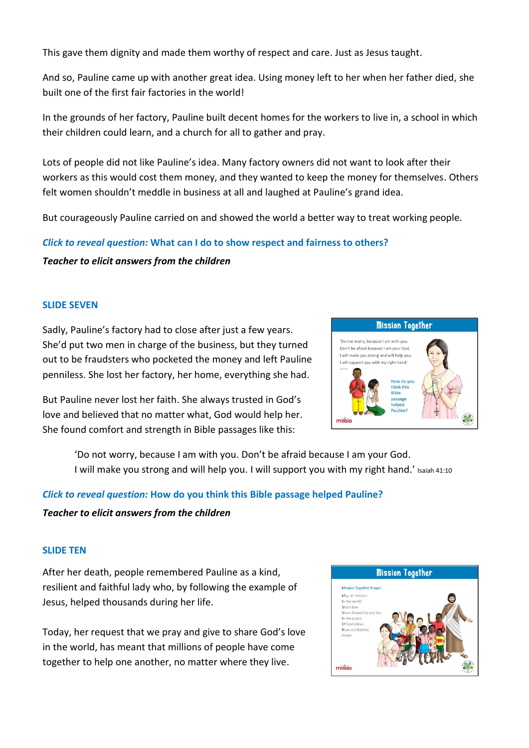This gave them dignity and made them worthy of respect and care. Just as Jesus taught.

And so, Pauline came up with another great idea. Using money left to her when her father died, she built one of the first fair factories in the world!

In the grounds of her factory, Pauline built decent homes for the workers to live in, a school in which their children could learn, and a church for all to gather and pray.

Lots of people did not like Pauline's idea. Many factory owners did not want to look after their workers as this would cost them money, and they wanted to keep the money for themselves. Others felt women shouldn't meddle in business at all and laughed at Pauline's grand idea.

But courageously Pauline carried on and showed the world a better way to treat working people.

## *Click to reveal question:* **What can I do to show respect and fairness to others?**

*Teacher to elicit answers from the children*

#### **SLIDE SEVEN**

Sadly, Pauline's factory had to close after just a few years. She'd put two men in charge of the business, but they turned out to be fraudsters who pocketed the money and left Pauline penniless. She lost her factory, her home, everything she had.

But Pauline never lost her faith. She always trusted in God's love and believed that no matter what, God would help her. She found comfort and strength in Bible passages like this:



'Do not worry, because I am with you. Don't be afraid because I am your God. I will make you strong and will help you. I will support you with my right hand.' Isaiah 41:10

# *Click to reveal question:* **How do you think this Bible passage helped Pauline?**

#### *Teacher to elicit answers from the children*

#### **SLIDE TEN**

After her death, people remembered Pauline as a kind, resilient and faithful lady who, by following the example of Jesus, helped thousands during her life.

Today, her request that we pray and give to share God's love in the world, has meant that millions of people have come together to help one another, no matter where they live.